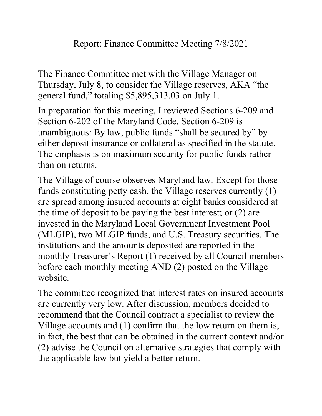The Finance Committee met with the Village Manager on Thursday, July 8, to consider the Village reserves, AKA "the general fund," totaling \$5,895,313.03 on July 1.

In preparation for this meeting, I reviewed Sections 6-209 and Section 6-202 of the Maryland Code. Section 6-209 is unambiguous: By law, public funds "shall be secured by" by either deposit insurance or collateral as specified in the statute. The emphasis is on maximum security for public funds rather than on returns.

The Village of course observes Maryland law. Except for those funds constituting petty cash, the Village reserves currently (1) are spread among insured accounts at eight banks considered at the time of deposit to be paying the best interest; or (2) are invested in the Maryland Local Government Investment Pool (MLGIP), two MLGIP funds, and U.S. Treasury securities. The institutions and the amounts deposited are reported in the monthly Treasurer's Report (1) received by all Council members before each monthly meeting AND (2) posted on the Village website.

The committee recognized that interest rates on insured accounts are currently very low. After discussion, members decided to recommend that the Council contract a specialist to review the Village accounts and (1) confirm that the low return on them is, in fact, the best that can be obtained in the current context and/or (2) advise the Council on alternative strategies that comply with the applicable law but yield a better return.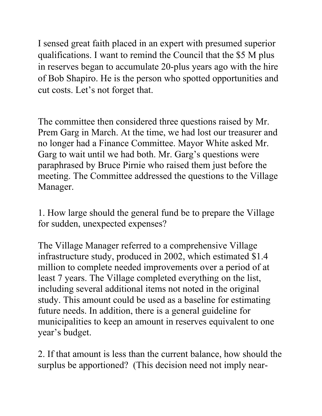I sensed great faith placed in an expert with presumed superior qualifications. I want to remind the Council that the \$5 M plus in reserves began to accumulate 20-plus years ago with the hire of Bob Shapiro. He is the person who spotted opportunities and cut costs. Let's not forget that.

The committee then considered three questions raised by Mr. Prem Garg in March. At the time, we had lost our treasurer and no longer had a Finance Committee. Mayor White asked Mr. Garg to wait until we had both. Mr. Garg's questions were paraphrased by Bruce Pirnie who raised them just before the meeting. The Committee addressed the questions to the Village Manager.

1. How large should the general fund be to prepare the Village for sudden, unexpected expenses?

The Village Manager referred to a comprehensive Village infrastructure study, produced in 2002, which estimated \$1.4 million to complete needed improvements over a period of at least 7 years. The Village completed everything on the list, including several additional items not noted in the original study. This amount could be used as a baseline for estimating future needs. In addition, there is a general guideline for municipalities to keep an amount in reserves equivalent to one year's budget.

2. If that amount is less than the current balance, how should the surplus be apportioned? (This decision need not imply near